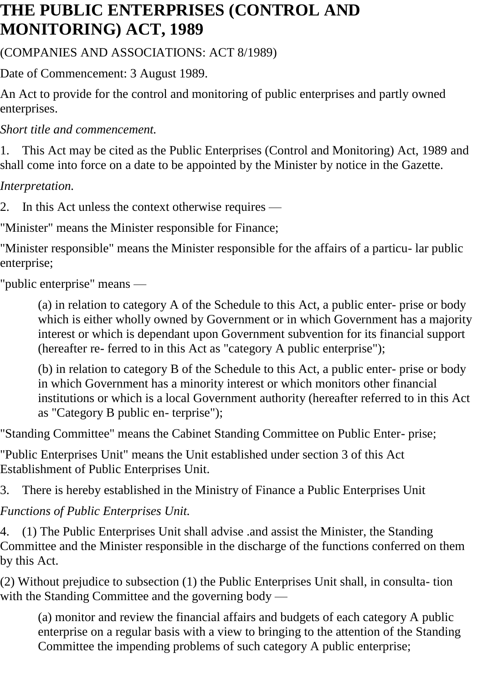# **THE PUBLIC ENTERPRISES (CONTROL AND MONITORING) ACT, 1989**

(COMPANIES AND ASSOCIATIONS: ACT 8/1989)

Date of Commencement: 3 August 1989.

An Act to provide for the control and monitoring of public enterprises and partly owned enterprises.

*Short title and commencement.*

1. This Act may be cited as the Public Enterprises (Control and Monitoring) Act, 1989 and shall come into force on a date to be appointed by the Minister by notice in the Gazette.

*Interpretation.*

2. In this Act unless the context otherwise requires —

"Minister" means the Minister responsible for Finance;

"Minister responsible" means the Minister responsible for the affairs of a particu- lar public enterprise;

"public enterprise" means —

(a) in relation to category A of the Schedule to this Act, a public enter- prise or body which is either wholly owned by Government or in which Government has a majority interest or which is dependant upon Government subvention for its financial support (hereafter re- ferred to in this Act as "category A public enterprise");

(b) in relation to category B of the Schedule to this Act, a public enter- prise or body in which Government has a minority interest or which monitors other financial institutions or which is a local Government authority (hereafter referred to in this Act as "Category B public en- terprise");

"Standing Committee" means the Cabinet Standing Committee on Public Enter- prise;

"Public Enterprises Unit" means the Unit established under section 3 of this Act Establishment of Public Enterprises Unit.

3. There is hereby established in the Ministry of Finance a Public Enterprises Unit

*Functions of Public Enterprises Unit.*

4. (1) The Public Enterprises Unit shall advise .and assist the Minister, the Standing Committee and the Minister responsible in the discharge of the functions conferred on them by this Act.

(2) Without prejudice to subsection (1) the Public Enterprises Unit shall, in consulta- tion with the Standing Committee and the governing body —

(a) monitor and review the financial affairs and budgets of each category A public enterprise on a regular basis with a view to bringing to the attention of the Standing Committee the impending problems of such category A public enterprise;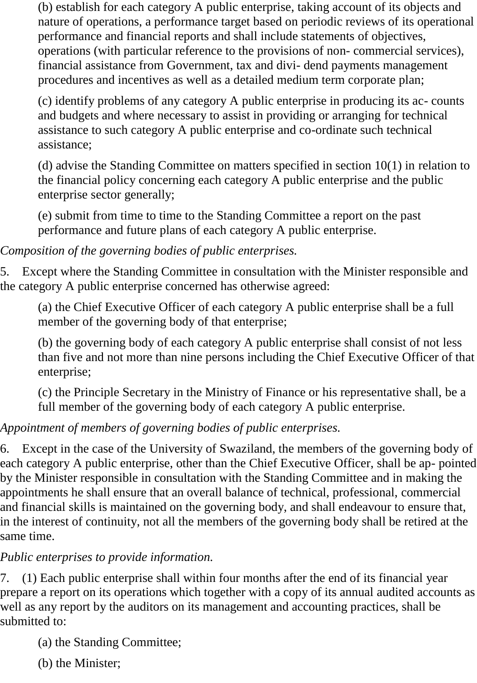(b) establish for each category A public enterprise, taking account of its objects and nature of operations, a performance target based on periodic reviews of its operational performance and financial reports and shall include statements of objectives, operations (with particular reference to the provisions of non- commercial services), financial assistance from Government, tax and divi- dend payments management procedures and incentives as well as a detailed medium term corporate plan;

(c) identify problems of any category A public enterprise in producing its ac- counts and budgets and where necessary to assist in providing or arranging for technical assistance to such category A public enterprise and co-ordinate such technical assistance;

(d) advise the Standing Committee on matters specified in section 10(1) in relation to the financial policy concerning each category A public enterprise and the public enterprise sector generally;

(e) submit from time to time to the Standing Committee a report on the past performance and future plans of each category A public enterprise.

*Composition of the governing bodies of public enterprises.*

5. Except where the Standing Committee in consultation with the Minister responsible and the category A public enterprise concerned has otherwise agreed:

(a) the Chief Executive Officer of each category A public enterprise shall be a full member of the governing body of that enterprise;

(b) the governing body of each category A public enterprise shall consist of not less than five and not more than nine persons including the Chief Executive Officer of that enterprise;

(c) the Principle Secretary in the Ministry of Finance or his representative shall, be a full member of the governing body of each category A public enterprise.

### *Appointment of members of governing bodies of public enterprises.*

6. Except in the case of the University of Swaziland, the members of the governing body of each category A public enterprise, other than the Chief Executive Officer, shall be ap- pointed by the Minister responsible in consultation with the Standing Committee and in making the appointments he shall ensure that an overall balance of technical, professional, commercial and financial skills is maintained on the governing body, and shall endeavour to ensure that, in the interest of continuity, not all the members of the governing body shall be retired at the same time.

#### *Public enterprises to provide information.*

7. (1) Each public enterprise shall within four months after the end of its financial year prepare a report on its operations which together with a copy of its annual audited accounts as well as any report by the auditors on its management and accounting practices, shall be submitted to:

(a) the Standing Committee;

(b) the Minister;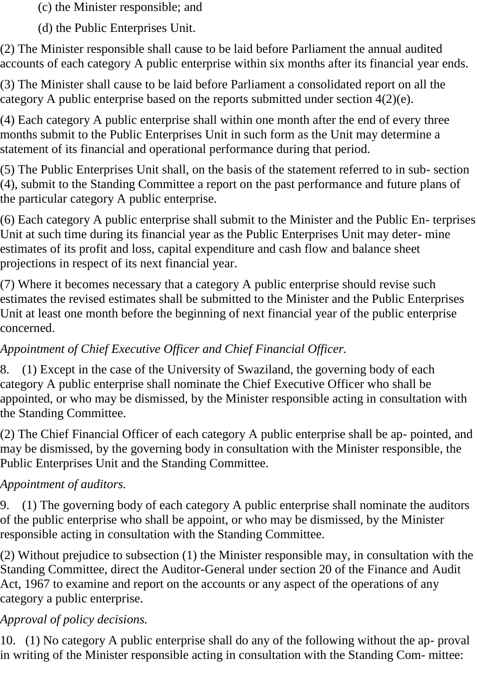(c) the Minister responsible; and

(d) the Public Enterprises Unit.

(2) The Minister responsible shall cause to be laid before Parliament the annual audited accounts of each category A public enterprise within six months after its financial year ends.

(3) The Minister shall cause to be laid before Parliament a consolidated report on all the category A public enterprise based on the reports submitted under section 4(2)(e).

(4) Each category A public enterprise shall within one month after the end of every three months submit to the Public Enterprises Unit in such form as the Unit may determine a statement of its financial and operational performance during that period.

(5) The Public Enterprises Unit shall, on the basis of the statement referred to in sub- section (4), submit to the Standing Committee a report on the past performance and future plans of the particular category A public enterprise.

(6) Each category A public enterprise shall submit to the Minister and the Public En- terprises Unit at such time during its financial year as the Public Enterprises Unit may deter- mine estimates of its profit and loss, capital expenditure and cash flow and balance sheet projections in respect of its next financial year.

(7) Where it becomes necessary that a category A public enterprise should revise such estimates the revised estimates shall be submitted to the Minister and the Public Enterprises Unit at least one month before the beginning of next financial year of the public enterprise concerned.

# *Appointment of Chief Executive Officer and Chief Financial Officer.*

8. (1) Except in the case of the University of Swaziland, the governing body of each category A public enterprise shall nominate the Chief Executive Officer who shall be appointed, or who may be dismissed, by the Minister responsible acting in consultation with the Standing Committee.

(2) The Chief Financial Officer of each category A public enterprise shall be ap- pointed, and may be dismissed, by the governing body in consultation with the Minister responsible, the Public Enterprises Unit and the Standing Committee.

### *Appointment of auditors.*

9. (1) The governing body of each category A public enterprise shall nominate the auditors of the public enterprise who shall be appoint, or who may be dismissed, by the Minister responsible acting in consultation with the Standing Committee.

(2) Without prejudice to subsection (1) the Minister responsible may, in consultation with the Standing Committee, direct the Auditor-General under section 20 of the Finance and Audit Act, 1967 to examine and report on the accounts or any aspect of the operations of any category a public enterprise.

### *Approval of policy decisions.*

10. (1) No category A public enterprise shall do any of the following without the ap- proval in writing of the Minister responsible acting in consultation with the Standing Com- mittee: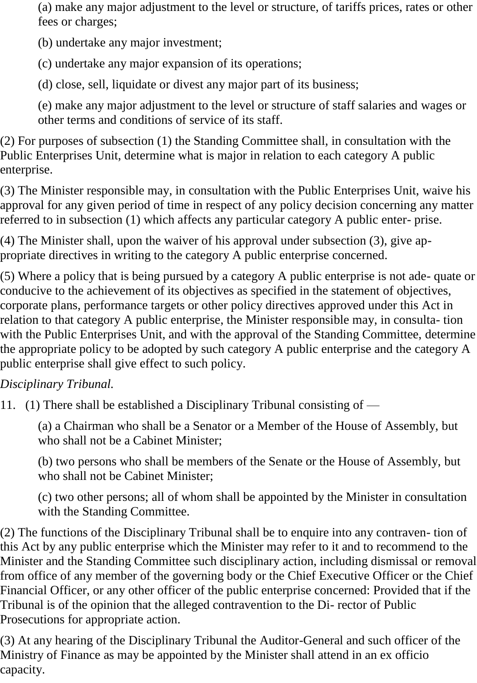(a) make any major adjustment to the level or structure, of tariffs prices, rates or other fees or charges;

(b) undertake any major investment;

(c) undertake any major expansion of its operations;

(d) close, sell, liquidate or divest any major part of its business;

(e) make any major adjustment to the level or structure of staff salaries and wages or other terms and conditions of service of its staff.

(2) For purposes of subsection (1) the Standing Committee shall, in consultation with the Public Enterprises Unit, determine what is major in relation to each category A public enterprise.

(3) The Minister responsible may, in consultation with the Public Enterprises Unit, waive his approval for any given period of time in respect of any policy decision concerning any matter referred to in subsection (1) which affects any particular category A public enter- prise.

(4) The Minister shall, upon the waiver of his approval under subsection (3), give appropriate directives in writing to the category A public enterprise concerned.

(5) Where a policy that is being pursued by a category A public enterprise is not ade- quate or conducive to the achievement of its objectives as specified in the statement of objectives, corporate plans, performance targets or other policy directives approved under this Act in relation to that category A public enterprise, the Minister responsible may, in consulta- tion with the Public Enterprises Unit, and with the approval of the Standing Committee, determine the appropriate policy to be adopted by such category A public enterprise and the category A public enterprise shall give effect to such policy.

### *Disciplinary Tribunal.*

11. (1) There shall be established a Disciplinary Tribunal consisting of —

(a) a Chairman who shall be a Senator or a Member of the House of Assembly, but who shall not be a Cabinet Minister;

(b) two persons who shall be members of the Senate or the House of Assembly, but who shall not be Cabinet Minister;

(c) two other persons; all of whom shall be appointed by the Minister in consultation with the Standing Committee.

(2) The functions of the Disciplinary Tribunal shall be to enquire into any contraven- tion of this Act by any public enterprise which the Minister may refer to it and to recommend to the Minister and the Standing Committee such disciplinary action, including dismissal or removal from office of any member of the governing body or the Chief Executive Officer or the Chief Financial Officer, or any other officer of the public enterprise concerned: Provided that if the Tribunal is of the opinion that the alleged contravention to the Di- rector of Public Prosecutions for appropriate action.

(3) At any hearing of the Disciplinary Tribunal the Auditor-General and such officer of the Ministry of Finance as may be appointed by the Minister shall attend in an ex officio capacity.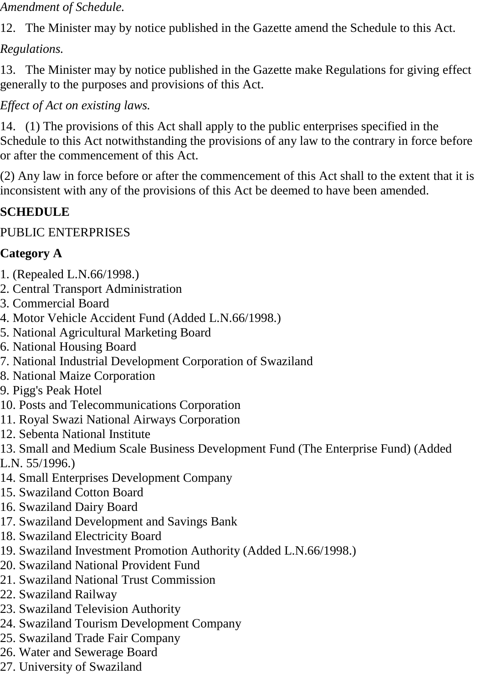*Amendment of Schedule.*

12. The Minister may by notice published in the Gazette amend the Schedule to this Act.

*Regulations.*

13. The Minister may by notice published in the Gazette make Regulations for giving effect generally to the purposes and provisions of this Act.

*Effect of Act on existing laws.*

14. (1) The provisions of this Act shall apply to the public enterprises specified in the Schedule to this Act notwithstanding the provisions of any law to the contrary in force before or after the commencement of this Act.

(2) Any law in force before or after the commencement of this Act shall to the extent that it is inconsistent with any of the provisions of this Act be deemed to have been amended.

# **SCHEDULE**

#### PUBLIC ENTERPRISES

## **Category A**

- 1. (Repealed L.N.66/1998.)
- 2. Central Transport Administration
- 3. Commercial Board
- 4. Motor Vehicle Accident Fund (Added L.N.66/1998.)
- 5. National Agricultural Marketing Board
- 6. National Housing Board
- 7. National Industrial Development Corporation of Swaziland
- 8. National Maize Corporation
- 9. Pigg's Peak Hotel
- 10. Posts and Telecommunications Corporation
- 11. Royal Swazi National Airways Corporation
- 12. Sebenta National Institute

13. Small and Medium Scale Business Development Fund (The Enterprise Fund) (Added L.N. 55/1996.)

- 14. Small Enterprises Development Company
- 15. Swaziland Cotton Board
- 16. Swaziland Dairy Board
- 17. Swaziland Development and Savings Bank
- 18. Swaziland Electricity Board
- 19. Swaziland Investment Promotion Authority (Added L.N.66/1998.)
- 20. Swaziland National Provident Fund
- 21. Swaziland National Trust Commission
- 22. Swaziland Railway
- 23. Swaziland Television Authority
- 24. Swaziland Tourism Development Company
- 25. Swaziland Trade Fair Company
- 26. Water and Sewerage Board
- 27. University of Swaziland